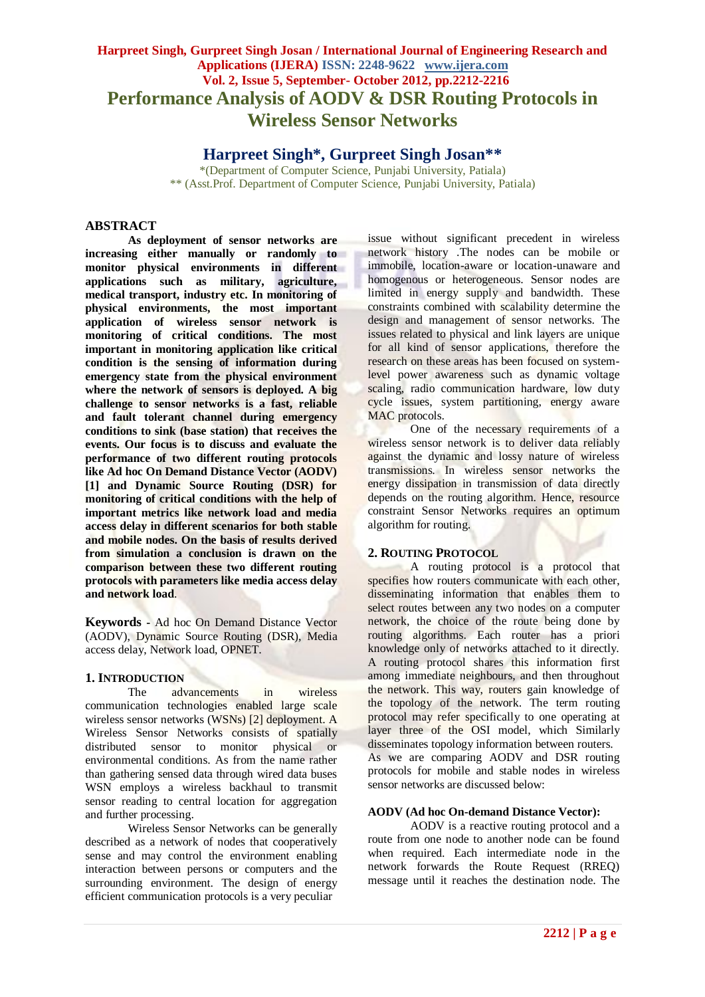# **Harpreet Singh, Gurpreet Singh Josan / International Journal of Engineering Research and Applications (IJERA) ISSN: 2248-9622 www.ijera.com Vol. 2, Issue 5, September- October 2012, pp.2212-2216 Performance Analysis of AODV & DSR Routing Protocols in Wireless Sensor Networks**

**Harpreet Singh\*, Gurpreet Singh Josan\*\***

\*(Department of Computer Science, Punjabi University, Patiala) \*\* (Asst.Prof. Department of Computer Science, Punjabi University, Patiala)

#### **ABSTRACT**

**As deployment of sensor networks are increasing either manually or randomly to monitor physical environments in different applications such as military, agriculture, medical transport, industry etc. In monitoring of physical environments, the most important application of wireless sensor network is monitoring of critical conditions. The most important in monitoring application like critical condition is the sensing of information during emergency state from the physical environment where the network of sensors is deployed. A big challenge to sensor networks is a fast, reliable and fault tolerant channel during emergency conditions to sink (base station) that receives the events. Our focus is to discuss and evaluate the performance of two different routing protocols like Ad hoc On Demand Distance Vector (AODV) [1] and Dynamic Source Routing (DSR) for monitoring of critical conditions with the help of important metrics like network load and media access delay in different scenarios for both stable and mobile nodes. On the basis of results derived from simulation a conclusion is drawn on the comparison between these two different routing protocols with parameters like media access delay and network load**.

**Keywords -** Ad hoc On Demand Distance Vector (AODV), Dynamic Source Routing (DSR), Media access delay, Network load, OPNET.

#### **1. INTRODUCTION**

The advancements in wireless communication technologies enabled large scale wireless sensor networks (WSNs) [2] deployment. A Wireless Sensor Networks consists of spatially distributed sensor to monitor physical or environmental conditions. As from the name rather than gathering sensed data through wired data buses WSN employs a wireless backhaul to transmit sensor reading to central location for aggregation and further processing.

Wireless Sensor Networks can be generally described as a network of nodes that cooperatively sense and may control the environment enabling interaction between persons or computers and the surrounding environment. The design of energy efficient communication protocols is a very peculiar

issue without significant precedent in wireless network history .The nodes can be mobile or immobile, location-aware or location-unaware and homogenous or heterogeneous. Sensor nodes are limited in energy supply and bandwidth. These constraints combined with scalability determine the design and management of sensor networks. The issues related to physical and link layers are unique for all kind of sensor applications, therefore the research on these areas has been focused on systemlevel power awareness such as dynamic voltage scaling, radio communication hardware, low duty cycle issues, system partitioning, energy aware MAC protocols.

One of the necessary requirements of a wireless sensor network is to deliver data reliably against the dynamic and lossy nature of wireless transmissions. In wireless sensor networks the energy dissipation in transmission of data directly depends on the routing algorithm. Hence, resource constraint Sensor Networks requires an optimum algorithm for routing.

#### **2. ROUTING PROTOCOL**

A routing protocol is a [protocol](http://en.wikipedia.org/wiki/Protocol_%28computing%29) that specifies how [routers](http://en.wikipedia.org/wiki/Router_%28computing%29) communicate with each other. disseminating information that enables them to select routes between any two [nodes](http://en.wikipedia.org/wiki/Node_%28networking%29) on a [computer](http://en.wikipedia.org/wiki/Computer_network)  [network,](http://en.wikipedia.org/wiki/Computer_network) the choice of the route being done by [routing algorithms.](http://en.wikipedia.org/wiki/Routing) Each router has a priori knowledge only of networks attached to it directly. A routing protocol shares this information first among immediate neighbours, and then throughout the network. This way, routers gain knowledge of the topology of the network. The term routing protocol may refer specifically to one operating at layer three of the [OSI model,](http://en.wikipedia.org/wiki/OSI_model) which Similarly disseminates topology information between routers. As we are comparing AODV and DSR routing protocols for mobile and stable nodes in wireless sensor networks are discussed below:

#### **AODV (Ad hoc On-demand Distance Vector):**

AODV is a reactive routing protocol and a route from one node to another node can be found when required. Each intermediate node in the network forwards the Route Request (RREQ) message until it reaches the destination node. The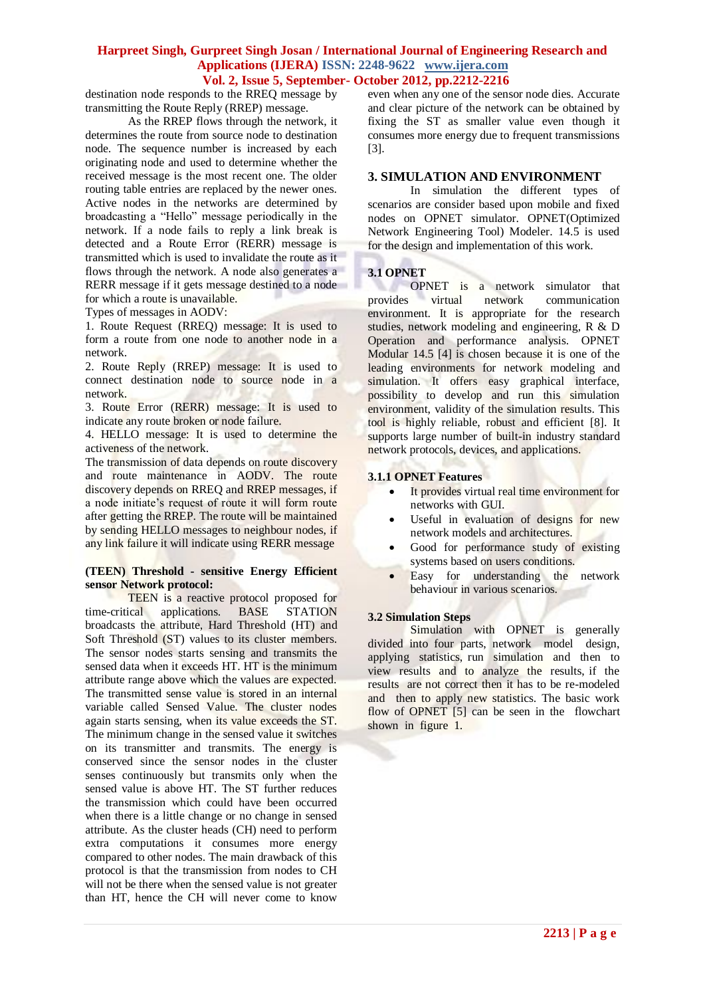destination node responds to the RREQ message by transmitting the Route Reply (RREP) message.

As the RREP flows through the network, it determines the route from source node to destination node. The sequence number is increased by each originating node and used to determine whether the received message is the most recent one. The older routing table entries are replaced by the newer ones. Active nodes in the networks are determined by broadcasting a "Hello" message periodically in the network. If a node fails to reply a link break is detected and a Route Error (RERR) message is transmitted which is used to invalidate the route as it flows through the network. A node also generates a RERR message if it gets message destined to a node for which a route is unavailable.

Types of messages in AODV:

1. Route Request (RREQ) message: It is used to form a route from one node to another node in a network.

2. Route Reply (RREP) message: It is used to connect destination node to source node in a network.

3. Route Error (RERR) message: It is used to indicate any route broken or node failure.

4. HELLO message: It is used to determine the activeness of the network.

The transmission of data depends on route discovery and route maintenance in AODV. The route discovery depends on RREQ and RREP messages, if a node initiate's request of route it will form route after getting the RREP. The route will be maintained by sending HELLO messages to neighbour nodes, if any link failure it will indicate using RERR message

#### **(TEEN) Threshold - sensitive Energy Efficient sensor Network protocol:**

TEEN is a reactive protocol proposed for time-critical applications. BASE STATION broadcasts the attribute, Hard Threshold (HT) and Soft Threshold (ST) values to its cluster members. The sensor nodes starts sensing and transmits the sensed data when it exceeds HT. HT is the minimum attribute range above which the values are expected. The transmitted sense value is stored in an internal variable called Sensed Value. The cluster nodes again starts sensing, when its value exceeds the ST. The minimum change in the sensed value it switches on its transmitter and transmits. The energy is conserved since the sensor nodes in the cluster senses continuously but transmits only when the sensed value is above HT. The ST further reduces the transmission which could have been occurred when there is a little change or no change in sensed attribute. As the cluster heads (CH) need to perform extra computations it consumes more energy compared to other nodes. The main drawback of this protocol is that the transmission from nodes to CH will not be there when the sensed value is not greater than HT, hence the CH will never come to know

even when any one of the sensor node dies. Accurate and clear picture of the network can be obtained by fixing the ST as smaller value even though it consumes more energy due to frequent transmissions [3].

#### **3. SIMULATION AND ENVIRONMENT**

In simulation the different types of scenarios are consider based upon mobile and fixed nodes on OPNET simulator. OPNET(Optimized Network Engineering Tool) Modeler. 14.5 is used for the design and implementation of this work.

#### **3.1 OPNET**

OPNET is a network simulator that provides virtual network communication environment. It is appropriate for the research studies, network modeling and engineering, R & D Operation and performance analysis. OPNET Modular 14.5 [4] is chosen because it is one of the leading environments for network modeling and simulation. It offers easy graphical interface, possibility to develop and run this simulation environment, validity of the simulation results. This tool is highly reliable, robust and efficient [8]. It supports large number of built-in industry standard network protocols, devices, and applications.

#### **3.1.1 OPNET Features**

- It provides virtual real time environment for networks with GUI.
- Useful in evaluation of designs for new network models and architectures.
- Good for performance study of existing systems based on users conditions.
- Easy for understanding the network behaviour in various scenarios.

#### **3.2 Simulation Steps**

Simulation with OPNET is generally divided into four parts, network model design, applying statistics, run simulation and then to view results and to analyze the results, if the results are not correct then it has to be re-modeled and then to apply new statistics. The basic work flow of OPNET [5] can be seen in the flowchart shown in figure 1.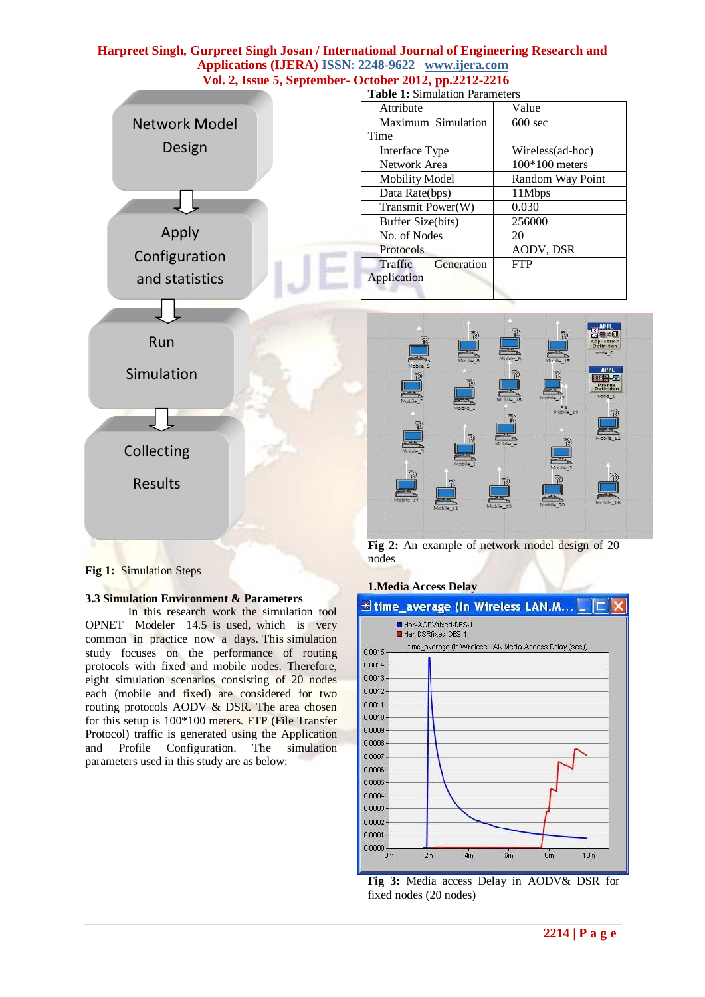

**Fig 1:** Simulation Steps

#### **3.3 Simulation Environment & Parameters**

In this research work the simulation tool OPNET Modeler 14.5 is used, which is very common in practice now a days. This simulation study focuses on the performance of routing protocols with fixed and mobile nodes. Therefore, eight simulation scenarios consisting of 20 nodes each (mobile and fixed) are considered for two routing protocols AODV & DSR. The area chosen for this setup is 100\*100 meters. FTP (File Transfer Protocol) traffic is generated using the Application and Profile Configuration. The simulation parameters used in this study are as below:

## **1.Media Access Delay**



**Fig 3:** Media access Delay in AODV& DSR for fixed nodes (20 nodes)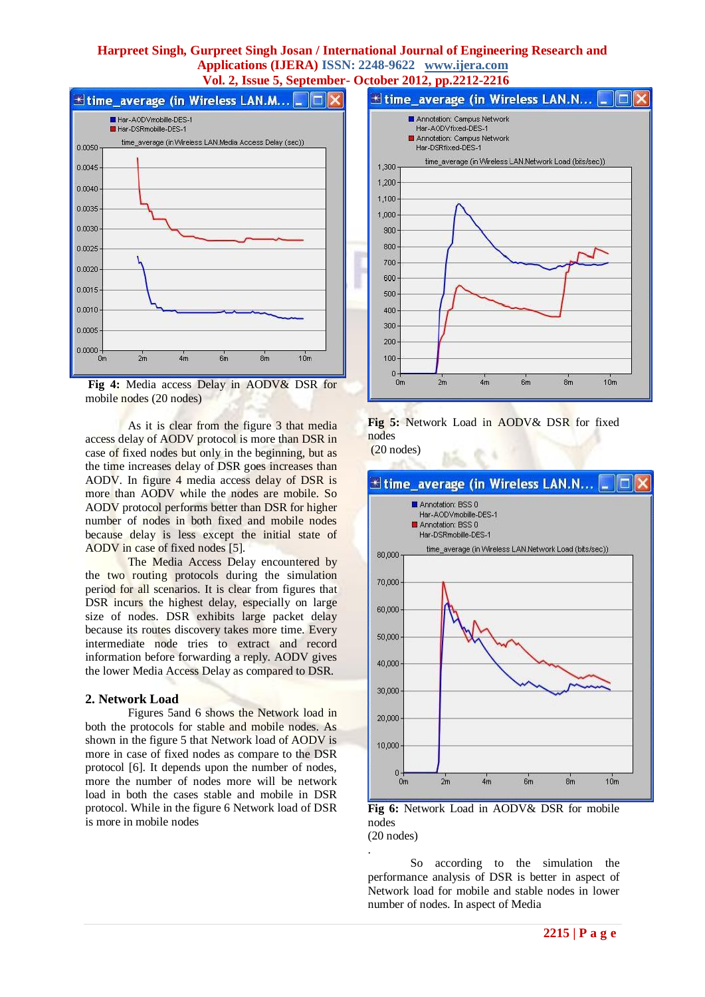

**Fig 4:** Media access Delay in AODV& DSR for mobile nodes (20 nodes)

As it is clear from the figure 3 that media access delay of AODV protocol is more than DSR in case of fixed nodes but only in the beginning, but as the time increases delay of DSR goes increases than AODV. In figure 4 media access delay of DSR is more than AODV while the nodes are mobile. So AODV protocol performs better than DSR for higher number of nodes in both fixed and mobile nodes because delay is less except the initial state of AODV in case of fixed nodes [5].

The Media Access Delay encountered by the two routing protocols during the simulation period for all scenarios. It is clear from figures that DSR incurs the highest delay, especially on large size of nodes. DSR exhibits large packet delay because its routes discovery takes more time. Every intermediate node tries to extract and record information before forwarding a reply. AODV gives the lower Media Access Delay as compared to DSR.

#### **2. Network Load**

Figures 5and 6 shows the Network load in both the protocols for stable and mobile nodes. As shown in the figure 5 that Network load of AODV is more in case of fixed nodes as compare to the DSR protocol [6]. It depends upon the number of nodes, more the number of nodes more will be network load in both the cases stable and mobile in DSR protocol. While in the figure 6 Network load of DSR is more in mobile nodes



## **Fig 5:** Network Load in AODV& DSR for fixed nodes

(20 nodes)



**Fig 6:** Network Load in AODV& DSR for mobile nodes (20 nodes)

. So according to the simulation the performance analysis of DSR is better in aspect of Network load for mobile and stable nodes in lower number of nodes. In aspect of Media

#### **2215 | P a g e**